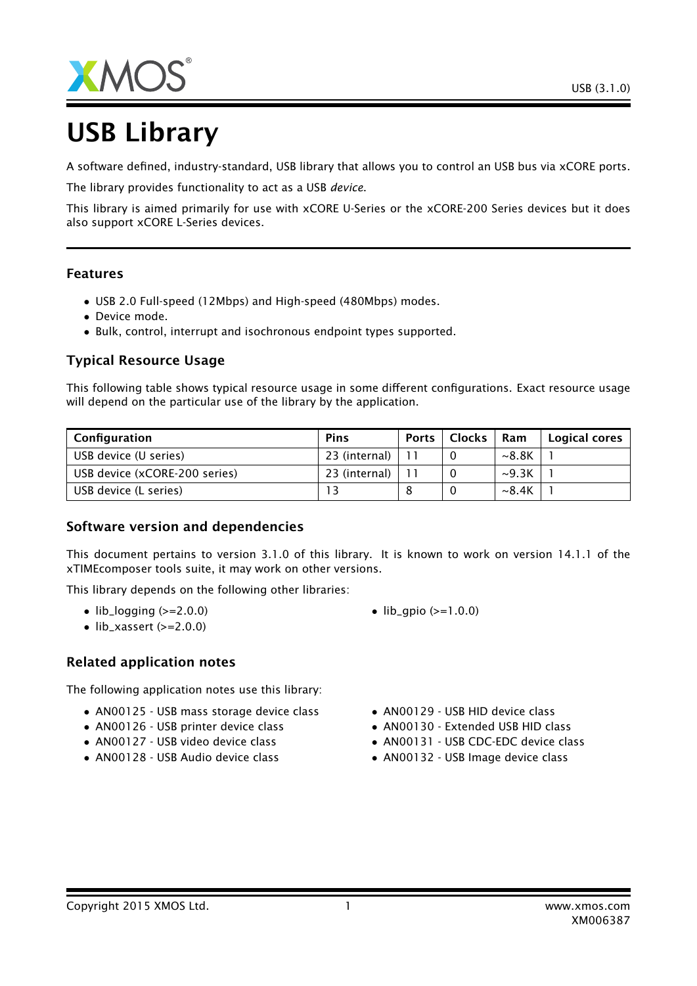



# USB Library

A software defined, industry-standard, USB library that allows you to control an USB bus via xCORE ports.

The library provides functionality to act as a USB *device*.

This library is aimed primarily for use with xCORE U-Series or the xCORE-200 Series devices but it does also support xCORE L-Series devices.

#### Features

- USB 2.0 Full-speed (12Mbps) and High-speed (480Mbps) modes.
- Device mode.
- Bulk, control, interrupt and isochronous endpoint types supported.

### Typical Resource Usage

This following table shows typical resource usage in some different configurations. Exact resource usage will depend on the particular use of the library by the application.

| Configuration                 | <b>Pins</b>   | <b>Ports</b> | <b>Clocks</b> | Ram               | Logical cores |
|-------------------------------|---------------|--------------|---------------|-------------------|---------------|
| USB device (U series)         | 23 (internal) |              |               | ~8.8 <sub>K</sub> |               |
| USB device (xCORE-200 series) | 23 (internal) |              |               | $\sim$ 9.3K       |               |
| USB device (L series)         |               |              |               | $\sim$ 8.4K       |               |

#### Software version and dependencies

This document pertains to version 3.1.0 of this library. It is known to work on version 14.1.1 of the xTIMEcomposer tools suite, it may work on other versions.

This library depends on the following other libraries:

- $\bullet$  lib\_logging ( $>=$ 2.0.0)
- $\bullet$  lib\_xassert (>=2.0.0)

#### Related application notes

The following application notes use this library:

- AN00125 USB mass storage device class
- AN00126 USB printer device class
- AN00127 USB video device class
- AN00128 USB Audio device class
- $lib_qpio (> = 1.0.0)$
- AN00129 USB HID device class
- AN00130 Extended USB HID class
- AN00131 USB CDC-EDC device class
- AN00132 USB Image device class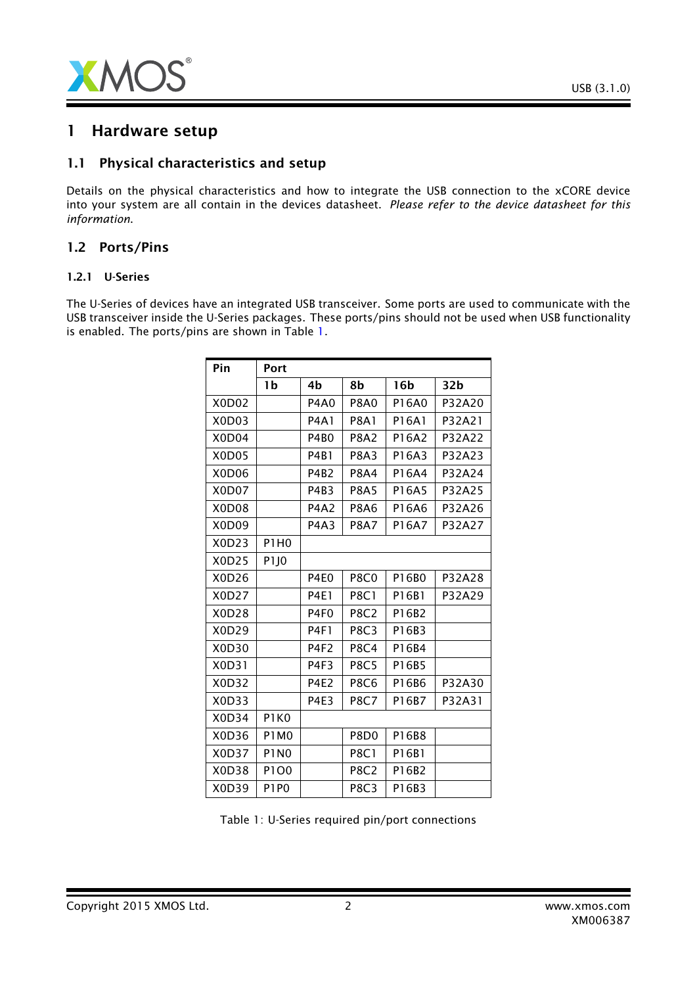

# 1 Hardware setup

#### 1.1 Physical characteristics and setup

Details on the physical characteristics and how to integrate the USB connection to the xCORE device into your system are all contain in the devices datasheet. *Please refer to the device datasheet for this information*.

#### 1.2 Ports/Pins

#### 1.2.1 U-Series

The U-Series of devices have an integrated USB transceiver. Some ports are used to communicate with the USB transceiver inside the U-Series packages. These ports/pins should not be used when USB functionality is enabled. The ports/pins are shown in Table [1.](#page-1-0)

| Pin   | Port             |                  |                  |                 |                 |
|-------|------------------|------------------|------------------|-----------------|-----------------|
|       | 1b               | 4b               | 8b               | 16 <sub>b</sub> | 32 <sub>b</sub> |
| X0D02 |                  | <b>P4A0</b>      | <b>P8A0</b>      | P16A0           | P32A20          |
| X0D03 |                  | <b>P4A1</b>      | <b>P8A1</b>      | P16A1           | P32A21          |
| X0D04 |                  | P4B <sub>0</sub> | <b>P8A2</b>      | P16A2           | P32A22          |
| X0D05 |                  | P4B1             | <b>P8A3</b>      | P16A3           | P32A23          |
| X0D06 |                  | P4B2             | <b>P8A4</b>      | P16A4           | P32A24          |
| X0D07 |                  | P4B3             | <b>P8A5</b>      | P16A5           | P32A25          |
| X0D08 |                  | <b>P4A2</b>      | <b>P8A6</b>      | P16A6           | P32A26          |
| X0D09 |                  | <b>P4A3</b>      | <b>P8A7</b>      | P16A7           | P32A27          |
| X0D23 | <b>P1H0</b>      |                  |                  |                 |                 |
| X0D25 | P <sub>1JO</sub> |                  |                  |                 |                 |
| X0D26 |                  | P4E0             | <b>P8C0</b>      | P16B0           | P32A28          |
| X0D27 |                  | <b>P4E1</b>      | <b>P8C1</b>      | P16B1           | P32A29          |
| X0D28 |                  | P4F <sub>0</sub> | <b>P8C2</b>      | P16B2           |                 |
| X0D29 |                  | <b>P4F1</b>      | <b>P8C3</b>      | P16B3           |                 |
| X0D30 |                  | P4F2             | <b>P8C4</b>      | P16B4           |                 |
| X0D31 |                  | P4F3             | <b>P8C5</b>      | P16B5           |                 |
| X0D32 |                  | <b>P4E2</b>      | <b>P8C6</b>      | P16B6           | P32A30          |
| X0D33 |                  | <b>P4E3</b>      | <b>P8C7</b>      | P16B7           | P32A31          |
| X0D34 | P1K0             |                  |                  |                 |                 |
| X0D36 | <b>P1M0</b>      |                  | P8D <sub>0</sub> | P16B8           |                 |
| X0D37 | <b>P1N0</b>      |                  | <b>P8C1</b>      | P16B1           |                 |
| X0D38 | P1O0             |                  | <b>P8C2</b>      | P16B2           |                 |
| X0D39 | <b>P1P0</b>      |                  | <b>P8C3</b>      | P16B3           |                 |

<span id="page-1-0"></span>Table 1: U-Series required pin/port connections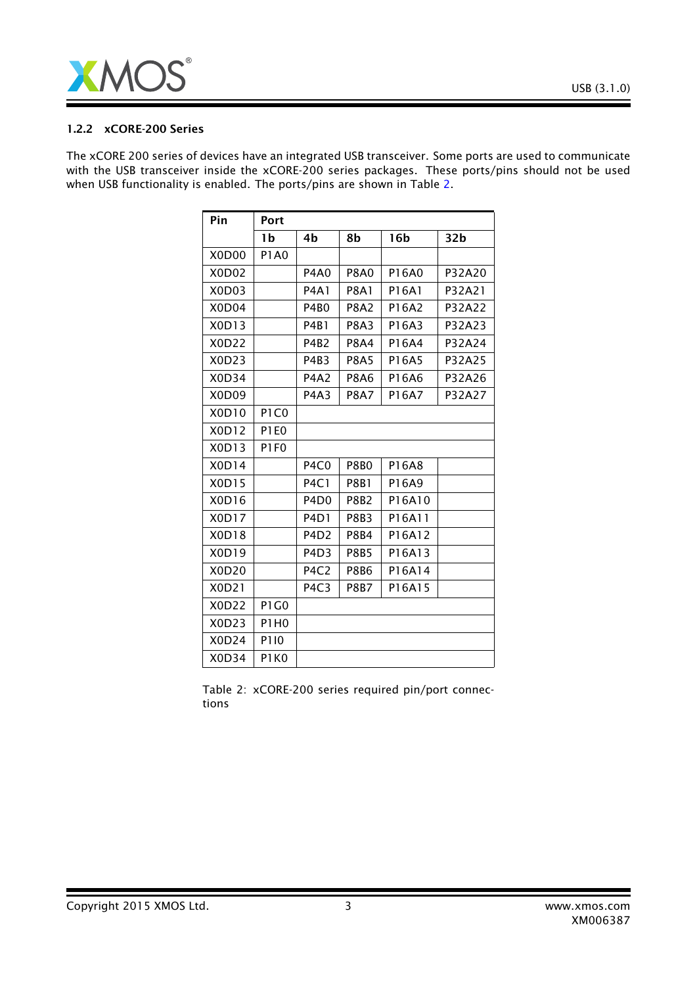

#### 1.2.2 xCORE-200 Series

The xCORE 200 series of devices have an integrated USB transceiver. Some ports are used to communicate with the USB transceiver inside the xCORE-200 series packages. These ports/pins should not be used when USB functionality is enabled. The ports/pins are shown in Table [2.](#page-2-0)

| Pin                            | Port        |                               |                  |                 |                 |
|--------------------------------|-------------|-------------------------------|------------------|-----------------|-----------------|
|                                | 1b          | 4b                            | 8b               | 16 <sub>b</sub> | 32 <sub>b</sub> |
| X0D00                          | <b>P1A0</b> |                               |                  |                 |                 |
| X0D02                          |             | <b>P4A0</b>                   | <b>P8A0</b>      | P16A0           | P32A20          |
| X <sub>0</sub> D <sub>03</sub> |             | <b>P4A1</b>                   | <b>P8A1</b>      | P16A1           | P32A21          |
| X <sub>0</sub> D <sub>04</sub> |             | P4B <sub>0</sub>              | <b>P8A2</b>      | P16A2           | P32A22          |
| X0D13                          |             | <b>P4B1</b>                   | <b>P8A3</b>      | P16A3           | P32A23          |
| X0D22                          |             | <b>P4B2</b>                   | <b>P8A4</b>      | P16A4           | P32A24          |
| X0D23                          |             | P4B3                          | <b>P8A5</b>      | P16A5           | P32A25          |
| X0D34                          |             | <b>P4A2</b>                   | <b>P8A6</b>      | P16A6           | P32A26          |
| X <sub>0</sub> D <sub>09</sub> |             | <b>P4A3</b>                   | <b>P8A7</b>      | P16A7           | P32A27          |
| X0D10                          | P1C0        |                               |                  |                 |                 |
| X0D12                          | <b>P1E0</b> |                               |                  |                 |                 |
| X0D13                          | <b>P1F0</b> |                               |                  |                 |                 |
| X0D14                          |             | P <sub>4</sub> C <sub>0</sub> | <b>P8B0</b>      | P16A8           |                 |
| X0D15                          |             | <b>P4C1</b>                   | <b>P8B1</b>      | P16A9           |                 |
| X0D16                          |             | P <sub>4</sub> D <sub>0</sub> | P8B <sub>2</sub> | P16A10          |                 |
| X0D17                          |             | P <sub>4</sub> D <sub>1</sub> | <b>P8B3</b>      | P16A11          |                 |
| X0D18                          |             | P <sub>4</sub> D <sub>2</sub> | <b>P8B4</b>      | P16A12          |                 |
| X0D19                          |             | P <sub>4</sub> D <sub>3</sub> | <b>P8B5</b>      | P16A13          |                 |
| X0D20                          |             | P <sub>4</sub> C <sub>2</sub> | <b>P8B6</b>      | P16A14          |                 |
| X0D21                          |             | P <sub>4</sub> C <sub>3</sub> | <b>P8B7</b>      | P16A15          |                 |
| X0D22                          | P1G0        |                               |                  |                 |                 |
| X0D23                          | P1H0        |                               |                  |                 |                 |
| X0D24                          | P110        |                               |                  |                 |                 |
| X0D34                          | P1K0        |                               |                  |                 |                 |

<span id="page-2-0"></span>Table 2: xCORE-200 series required pin/port connections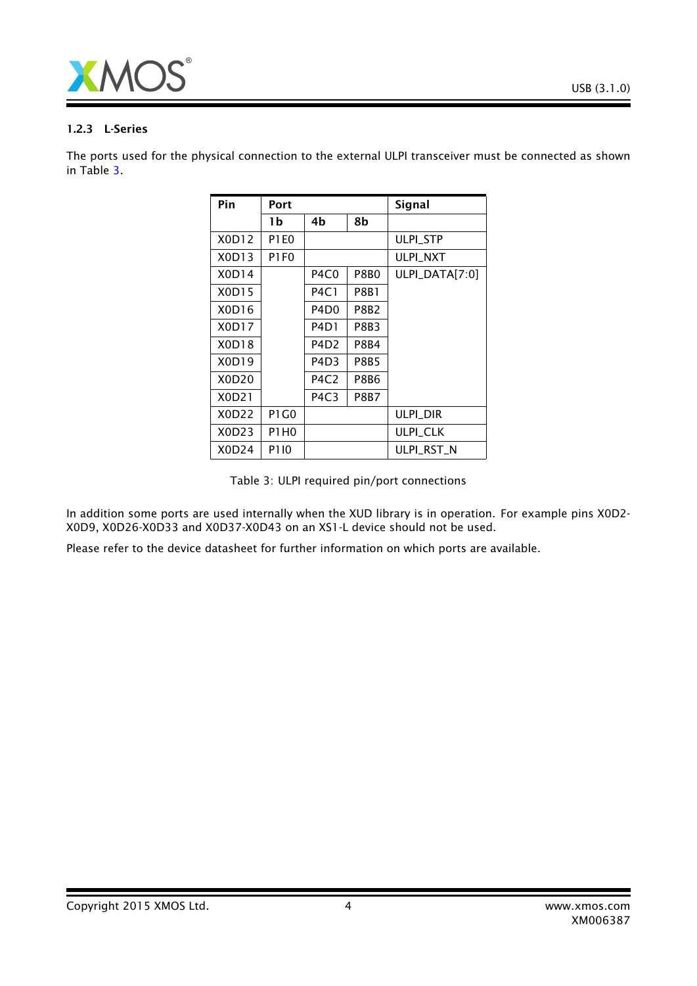

#### 1.2.3 L-Series

The ports used for the physical connection to the external ULPI transceiver must be connected as shown in Table [3.](#page-3-0)

| Pin   | Port        |                               |             | <b>Signal</b>    |
|-------|-------------|-------------------------------|-------------|------------------|
|       | 1b          | 4b                            | 8b          |                  |
| X0D12 | <b>P1E0</b> |                               |             | <b>ULPI STP</b>  |
| X0D13 | P1F0        |                               |             | <b>ULPI NXT</b>  |
| X0D14 |             | P4C0                          | P8B0        | $ULPI_DATA[7:0]$ |
| X0D15 |             | <b>P4C1</b>                   | P8B1        |                  |
| X0D16 |             | P4D <sub>0</sub>              | P8B2        |                  |
| X0D17 |             | P4D1                          | P8B3        |                  |
| X0D18 |             | P4D <sub>2</sub>              | P8B4        |                  |
| X0D19 |             | P4D3                          | P8B5        |                  |
| X0D20 |             | P4C2                          | P8B6        |                  |
| X0D21 |             | P <sub>4</sub> C <sub>3</sub> | <b>P8B7</b> |                  |
| X0D22 | P1 G0       |                               |             | ulpi dir         |
| X0D23 | P1H0        |                               |             | <b>ULPI_CLK</b>  |
| X0D24 | P110        |                               |             | ULPI RST N       |

<span id="page-3-0"></span>Table 3: ULPI required pin/port connections

In addition some ports are used internally when the XUD library is in operation. For example pins X0D2- X0D9, X0D26-X0D33 and X0D37-X0D43 on an XS1-L device should not be used.

Please refer to the device datasheet for further information on which ports are available.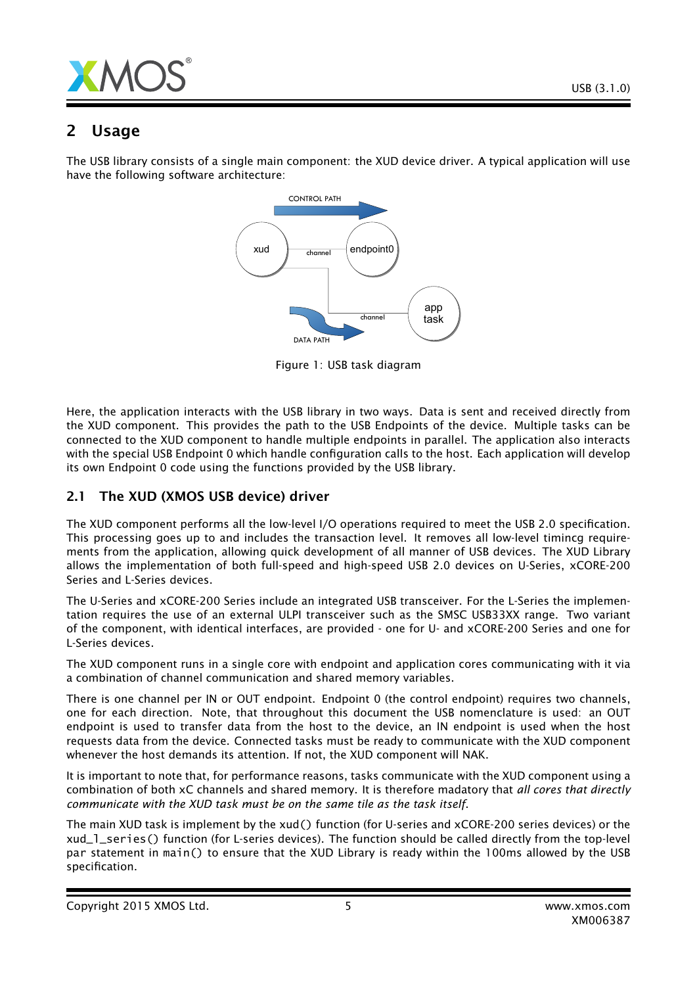

# 2 Usage

The USB library consists of a single main component: the XUD device driver. A typical application will use have the following software architecture:



Figure 1: USB task diagram

Here, the application interacts with the USB library in two ways. Data is sent and received directly from the XUD component. This provides the path to the USB Endpoints of the device. Multiple tasks can be connected to the XUD component to handle multiple endpoints in parallel. The application also interacts with the special USB Endpoint 0 which handle configuration calls to the host. Each application will develop its own Endpoint 0 code using the functions provided by the USB library.

## 2.1 The XUD (XMOS USB device) driver

The XUD component performs all the low-level I/O operations required to meet the USB 2.0 specification. This processing goes up to and includes the transaction level. It removes all low-level timincg requirements from the application, allowing quick development of all manner of USB devices. The XUD Library allows the implementation of both full-speed and high-speed USB 2.0 devices on U-Series, xCORE-200 Series and L-Series devices.

The U-Series and xCORE-200 Series include an integrated USB transceiver. For the L-Series the implementation requires the use of an external ULPI transceiver such as the SMSC USB33XX range. Two variant of the component, with identical interfaces, are provided - one for U- and xCORE-200 Series and one for L-Series devices.

The XUD component runs in a single core with endpoint and application cores communicating with it via a combination of channel communication and shared memory variables.

There is one channel per IN or OUT endpoint. Endpoint 0 (the control endpoint) requires two channels, one for each direction. Note, that throughout this document the USB nomenclature is used: an OUT endpoint is used to transfer data from the host to the device, an IN endpoint is used when the host requests data from the device. Connected tasks must be ready to communicate with the XUD component whenever the host demands its attention. If not, the XUD component will NAK.

It is important to note that, for performance reasons, tasks communicate with the XUD component using a combination of both xC channels and shared memory. It is therefore madatory that *all cores that directly communicate with the XUD task must be on the same tile as the task itself*.

The main XUD task is implement by the xud() function (for U-series and xCORE-200 series devices) or the xud\_l\_series() function (for L-series devices). The function should be called directly from the top-level par statement in main() to ensure that the XUD Library is ready within the 100ms allowed by the USB specification.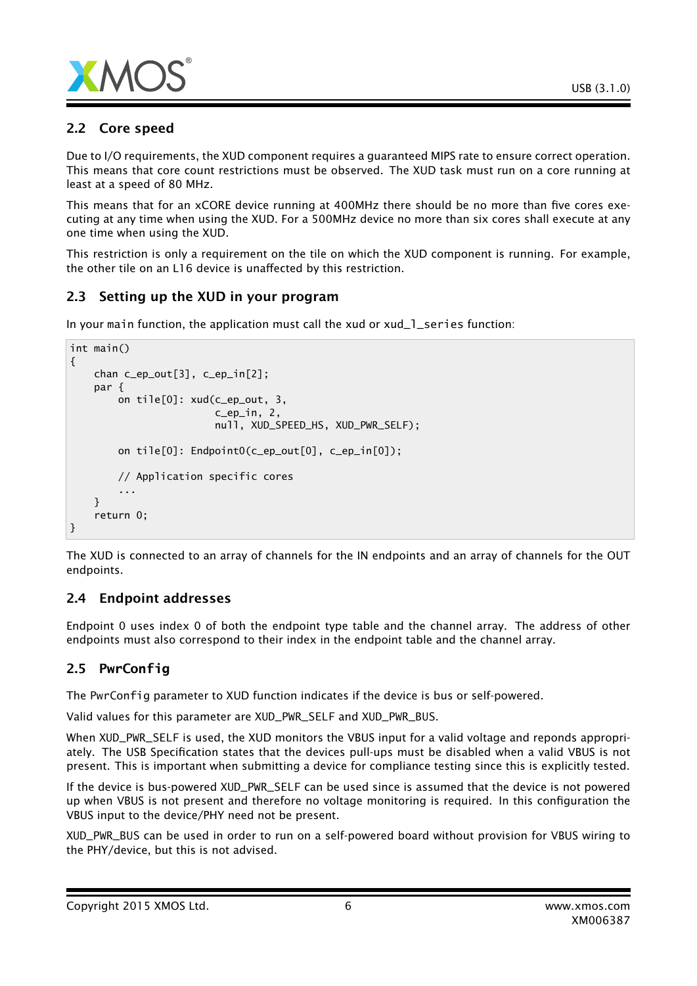

## 2.2 Core speed

Due to I/O requirements, the XUD component requires a guaranteed MIPS rate to ensure correct operation. This means that core count restrictions must be observed. The XUD task must run on a core running at least at a speed of 80 MHz.

This means that for an xCORE device running at 400MHz there should be no more than five cores executing at any time when using the XUD. For a 500MHz device no more than six cores shall execute at any one time when using the XUD.

This restriction is only a requirement on the tile on which the XUD component is running. For example, the other tile on an L16 device is unaffected by this restriction.

## 2.3 Setting up the XUD in your program

In your main function, the application must call the xud or xud\_1\_series function:

```
int main()
{
    chan c_ep_out[3], c_ep_in[2];
    par {
        on tile[0]: xud(c_ep_out, 3,
                         c_ep_in, 2,
                        null, XUD_SPEED_HS, XUD_PWR_SELF);
        on tile[0]: Endpoint0(c_ep_out[0], c_ep_in[0]);
        // Application specific cores
        ...
    }
    return 0;
}
```
The XUD is connected to an array of channels for the IN endpoints and an array of channels for the OUT endpoints.

## 2.4 Endpoint addresses

Endpoint 0 uses index 0 of both the endpoint type table and the channel array. The address of other endpoints must also correspond to their index in the endpoint table and the channel array.

# 2.5 **PwrConfig**

The PwrConfig parameter to XUD function indicates if the device is bus or self-powered.

Valid values for this parameter are XUD\_PWR\_SELF and XUD\_PWR\_BUS.

When XUD\_PWR\_SELF is used, the XUD monitors the VBUS input for a valid voltage and reponds appropriately. The USB Specification states that the devices pull-ups must be disabled when a valid VBUS is not present. This is important when submitting a device for compliance testing since this is explicitly tested.

If the device is bus-powered XUD\_PWR\_SELF can be used since is assumed that the device is not powered up when VBUS is not present and therefore no voltage monitoring is required. In this configuration the VBUS input to the device/PHY need not be present.

XUD\_PWR\_BUS can be used in order to run on a self-powered board without provision for VBUS wiring to the PHY/device, but this is not advised.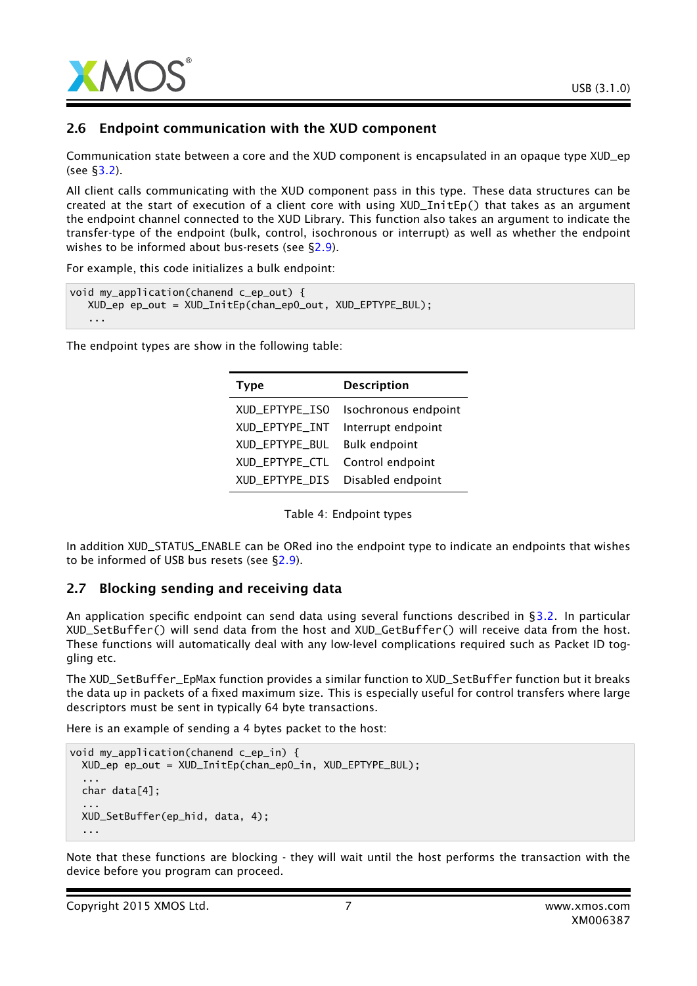

#### 2.6 Endpoint communication with the XUD component

Communication state between a core and the XUD component is encapsulated in an opaque type XUD\_ep (see [§3.2\)](#page-13-0).

All client calls communicating with the XUD component pass in this type. These data structures can be created at the start of execution of a client core with using XUD\_InitEp() that takes as an argument the endpoint channel connected to the XUD Library. This function also takes an argument to indicate the transfer-type of the endpoint (bulk, control, isochronous or interrupt) as well as whether the endpoint wishes to be informed about bus-resets (see [§2.9\)](#page-7-0).

For example, this code initializes a bulk endpoint:

```
void my_application(chanend c_ep_out) {
  XUD_ep ep_out = XUD_InitEp(chan_ep0_out, XUD_EPTYPE_BUL);
   ...
```
The endpoint types are show in the following table:

| <b>Type</b>    | <b>Description</b>   |
|----------------|----------------------|
| XUD EPTYPE ISO | Isochronous endpoint |
| XUD_EPTYPE_INT | Interrupt endpoint   |
| XUD EPTYPE BUL | <b>Bulk endpoint</b> |
| XUD_EPTYPE_CTL | Control endpoint     |
| XUD_EPTYPE_DIS | Disabled endpoint    |

Table 4: Endpoint types

In addition XUD\_STATUS\_ENABLE can be ORed ino the endpoint type to indicate an endpoints that wishes to be informed of USB bus resets (see [§2.9\)](#page-7-0).

#### 2.7 Blocking sending and receiving data

An application specific endpoint can send data using several functions described in [§3.2.](#page-13-0) In particular XUD\_SetBuffer() will send data from the host and XUD\_GetBuffer() will receive data from the host. These functions will automatically deal with any low-level complications required such as Packet ID toggling etc.

The XUD\_SetBuffer\_EpMax function provides a similar function to XUD\_SetBuffer function but it breaks the data up in packets of a fixed maximum size. This is especially useful for control transfers where large descriptors must be sent in typically 64 byte transactions.

Here is an example of sending a 4 bytes packet to the host:

```
void my_application(chanend c_ep_in) {
 XUD_ep ep_out = XUD_InitEp(chan_ep0_in, XUD_EPTYPE_BUL);
  ...
 char data[4];
  ...
 XUD_SetBuffer(ep_hid, data, 4);
  ...
```
Note that these functions are blocking - they will wait until the host performs the transaction with the device before you program can proceed.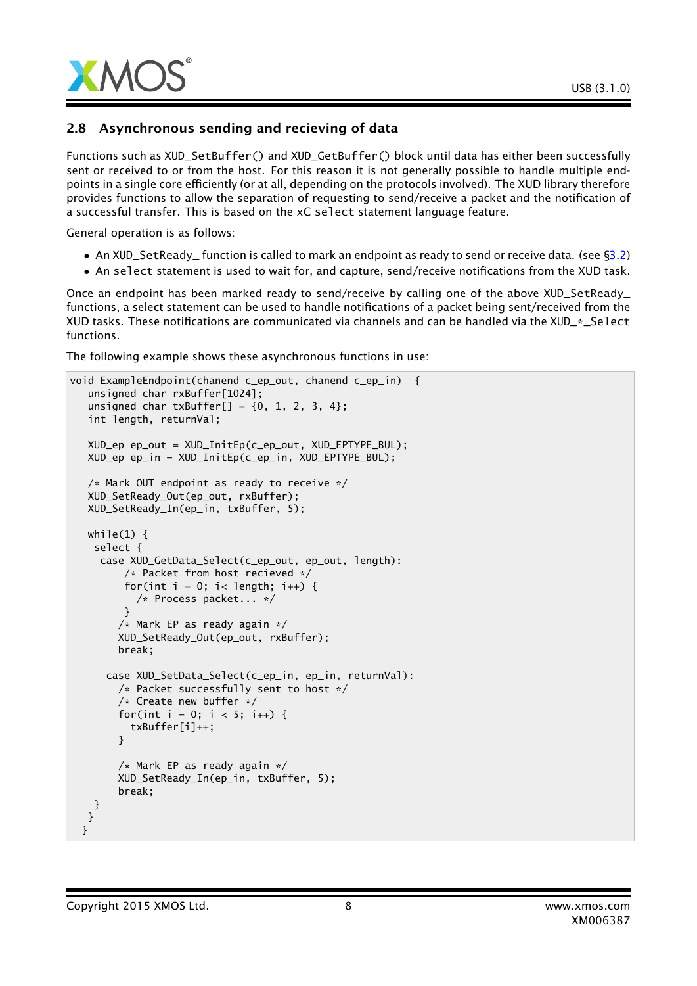

## 2.8 Asynchronous sending and recieving of data

Functions such as XUD\_SetBuffer() and XUD\_GetBuffer() block until data has either been successfully sent or received to or from the host. For this reason it is not generally possible to handle multiple endpoints in a single core efficiently (or at all, depending on the protocols involved). The XUD library therefore provides functions to allow the separation of requesting to send/receive a packet and the notification of a successful transfer. This is based on the xC select statement language feature.

General operation is as follows:

- An XUD\_SetReady\_ function is called to mark an endpoint as ready to send or receive data. (see [§3.2\)](#page-13-0)
- An select statement is used to wait for, and capture, send/receive notifications from the XUD task.

Once an endpoint has been marked ready to send/receive by calling one of the above XUD\_SetReady\_ functions, a select statement can be used to handle notifications of a packet being sent/received from the XUD tasks. These notifications are communicated via channels and can be handled via the XUD\_\*\_Select functions.

The following example shows these asynchronous functions in use:

```
void ExampleEndpoint(chanend c_ep_out, chanend c_ep_in) {
   unsigned char rxBuffer[1024];
   unsigned char txBuffer[] = {0, 1, 2, 3, 4};
   int length, returnVal;
  XUD_ep ep_out = XUD_InitEp(c_ep_out, XUD_EPTYPE_BUL);
  XUD_ep ep_in = XUD_InitEp(c_ep_in, XUD_EPTYPE_BUL);
  /* Mark OUT endpoint as ready to receive */
  XUD_SetReady_Out(ep_out, rxBuffer);
  XUD_SetReady_In(ep_in, txBuffer, 5);
  while(1) \{select {
     case XUD_GetData_Select(c_ep_out, ep_out, length):
         /* Packet from host recieved */
         for(int i = 0; i< length; i++) {
           /* Process packet... */
         }
        /* Mark EP as ready again */
        XUD_SetReady_Out(ep_out, rxBuffer);
        break;
      case XUD_SetData_Select(c_ep_in, ep_in, returnVal):
        /* Packet successfully sent to host */
        /* Create new buffer */
        for(int i = 0; i < 5; i++) {
          txBuffer[i]++;
        }
        /* Mark EP as ready again */
        XUD_SetReady_In(ep_in, txBuffer, 5);
        break;
   }
  }
 }
```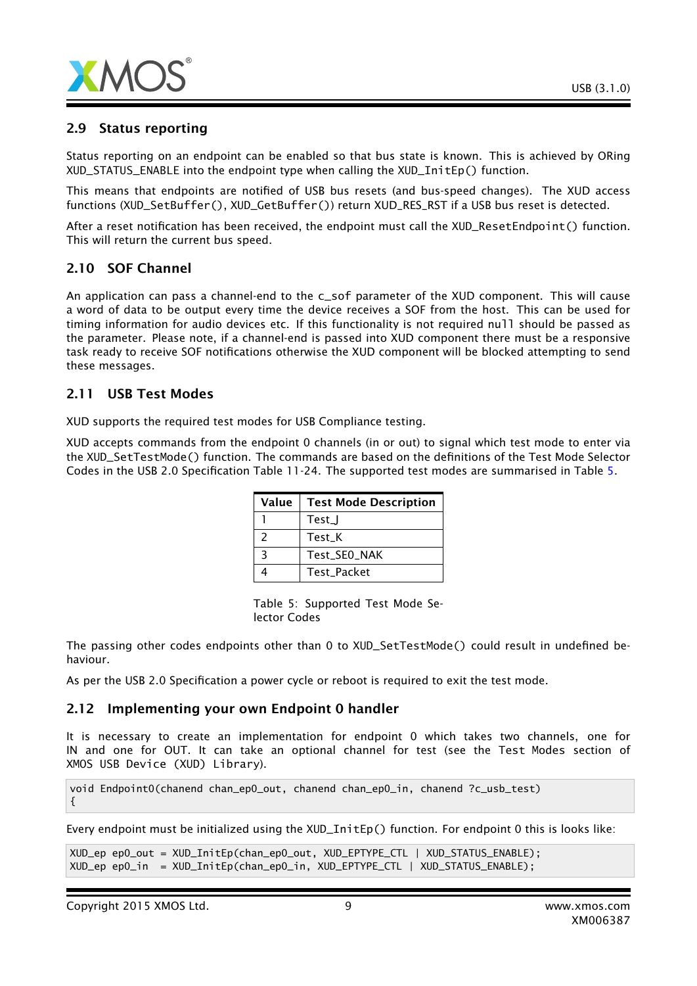

### 2.9 Status reporting

Status reporting on an endpoint can be enabled so that bus state is known. This is achieved by ORing XUD\_STATUS\_ENABLE into the endpoint type when calling the XUD\_InitEp() function.

This means that endpoints are notified of USB bus resets (and bus-speed changes). The XUD access functions (XUD\_SetBuffer(), XUD\_GetBuffer()) return XUD\_RES\_RST if a USB bus reset is detected.

After a reset notification has been received, the endpoint must call the XUD\_ResetEndpoint() function. This will return the current bus speed.

### 2.10 SOF Channel

An application can pass a channel-end to the c\_sof parameter of the XUD component. This will cause a word of data to be output every time the device receives a SOF from the host. This can be used for timing information for audio devices etc. If this functionality is not required null should be passed as the parameter. Please note, if a channel-end is passed into XUD component there must be a responsive task ready to receive SOF notifications otherwise the XUD component will be blocked attempting to send these messages.

#### 2.11 USB Test Modes

XUD supports the required test modes for USB Compliance testing.

XUD accepts commands from the endpoint 0 channels (in or out) to signal which test mode to enter via the XUD\_SetTestMode() function. The commands are based on the definitions of the Test Mode Selector Codes in the USB 2.0 Specification Table 11-24. The supported test modes are summarised in Table [5.](#page-8-0)

| Value | <b>Test Mode Description</b> |
|-------|------------------------------|
|       | Test_J                       |
| 2     | Test K                       |
| ર     | Test_SEO_NAK                 |
|       | <b>Test Packet</b>           |

<span id="page-8-0"></span>Table 5: Supported Test Mode Selector Codes

The passing other codes endpoints other than 0 to XUD\_SetTestMode() could result in undefined behaviour.

As per the USB 2.0 Specification a power cycle or reboot is required to exit the test mode.

#### 2.12 Implementing your own Endpoint 0 handler

It is necessary to create an implementation for endpoint 0 which takes two channels, one for IN and one for OUT. It can take an optional channel for test (see the Test Modes section of XMOS USB Device (XUD) Library).

void Endpoint0(chanend chan\_ep0\_out, chanend chan\_ep0\_in, chanend ?c\_usb\_test) {

Every endpoint must be initialized using the XUD\_InitEp() function. For endpoint 0 this is looks like:

```
XUD_ep ep0_out = XUD_InitEp(chan_ep0_out, XUD_EPTYPE_CTL | XUD_STATUS_ENABLE);
XUD_ep ep0_in = XUD_InitEp(chan_ep0_in, XUD_EPTYPE_CTL | XUD_STATUS_ENABLE);
```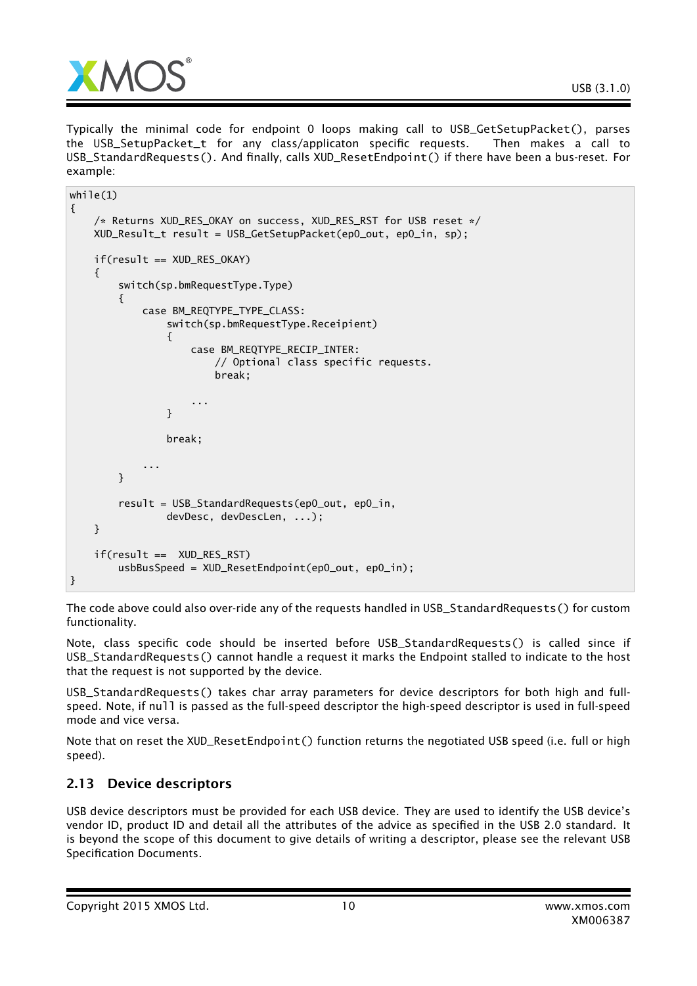

Typically the minimal code for endpoint 0 loops making call to USB\_GetSetupPacket(), parses the USB\_SetupPacket\_t for any class/applicaton specific requests. Then makes a call to USB\_StandardRequests(). And finally, calls XUD\_ResetEndpoint() if there have been a bus-reset. For example:

```
while(1){
    /* Returns XUD_RES_OKAY on success, XUD_RES_RST for USB reset */
    XUD_Result_t result = USB_GetSetupPacket(ep0_out, ep0_in, sp);
    if(result == XUD_RES_OKAY)
    {
        switch(sp.bmRequestType.Type)
        {
            case BM_REQTYPE_TYPE_CLASS:
                switch(sp.bmRequestType.Receipient)
                {
                    case BM_REQTYPE_RECIP_INTER:
                        // Optional class specific requests.
                        break;
                    ...
                }
                break;
            ...
        }
        result = USB_StandardRequests(ep0_out, ep0_in,
                devDesc, devDescLen, ...);
    }
    if(result == XUD_RES_RST)
        usbBusSpeed = XUD_ResetEndpoint(ep0_out, ep0_in);
}
```
The code above could also over-ride any of the requests handled in USB\_StandardRequests() for custom functionality.

Note, class specific code should be inserted before USB\_StandardRequests() is called since if USB\_StandardRequests() cannot handle a request it marks the Endpoint stalled to indicate to the host that the request is not supported by the device.

USB\_StandardRequests() takes char array parameters for device descriptors for both high and fullspeed. Note, if null is passed as the full-speed descriptor the high-speed descriptor is used in full-speed mode and vice versa.

Note that on reset the XUD\_ResetEndpoint() function returns the negotiated USB speed (i.e. full or high speed).

## 2.13 Device descriptors

USB device descriptors must be provided for each USB device. They are used to identify the USB device's vendor ID, product ID and detail all the attributes of the advice as specified in the USB 2.0 standard. It is beyond the scope of this document to give details of writing a descriptor, please see the relevant USB Specification Documents.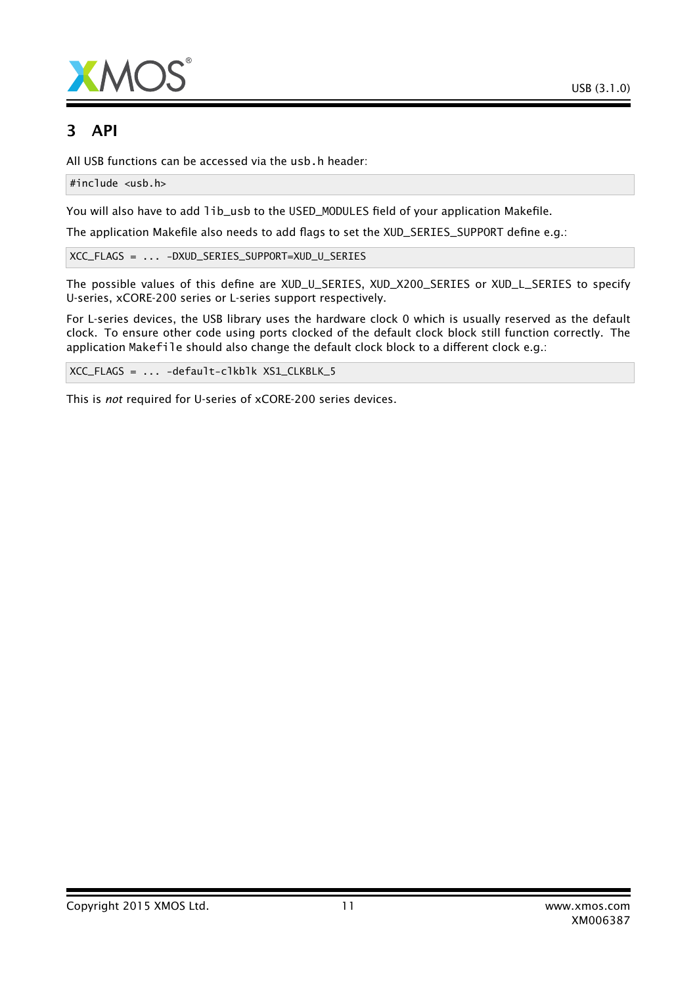

# 3 API

All USB functions can be accessed via the usb.h header:

#include <usb.h>

You will also have to add lib\_usb to the USED\_MODULES field of your application Makefile.

The application Makefile also needs to add flags to set the XUD\_SERIES\_SUPPORT define e.g.:

XCC\_FLAGS = ... -DXUD\_SERIES\_SUPPORT=XUD\_U\_SERIES

The possible values of this define are XUD\_U\_SERIES, XUD\_X200\_SERIES or XUD\_L\_SERIES to specify U-series, xCORE-200 series or L-series support respectively.

For L-series devices, the USB library uses the hardware clock 0 which is usually reserved as the default clock. To ensure other code using ports clocked of the default clock block still function correctly. The application Makefile should also change the default clock block to a different clock e.g.:

XCC\_FLAGS = ... -default-clkblk XS1\_CLKBLK\_5

This is *not* required for U-series of xCORE-200 series devices.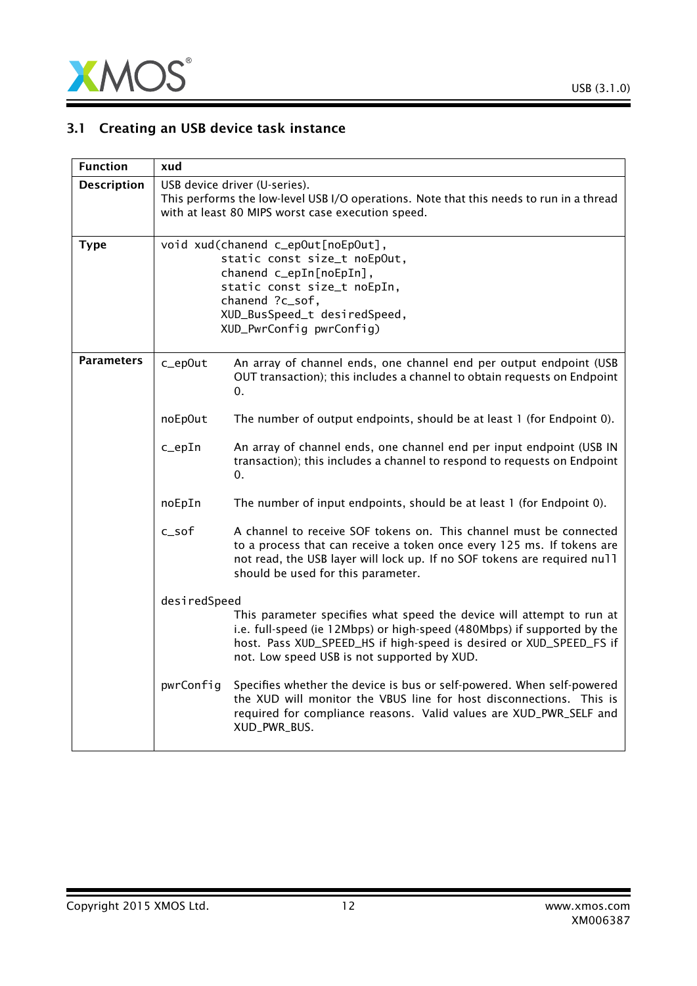

# 3.1 Creating an USB device task instance

| <b>Function</b>    | xud          |                                                                                                                                                                                                                                                                        |
|--------------------|--------------|------------------------------------------------------------------------------------------------------------------------------------------------------------------------------------------------------------------------------------------------------------------------|
| <b>Description</b> |              | USB device driver (U-series).<br>This performs the low-level USB I/O operations. Note that this needs to run in a thread<br>with at least 80 MIPS worst case execution speed.                                                                                          |
| <b>Type</b>        |              | void xud(chanend c_epOut[noEpOut],<br>static const size_t noEpOut,<br>chanend c_epIn[noEpIn],<br>static const size_t noEpIn,<br>chanend ?c_sof,<br>XUD_BusSpeed_t desiredSpeed,<br>XUD_PwrConfig pwrConfig)                                                            |
| <b>Parameters</b>  | c_ep0ut      | An array of channel ends, one channel end per output endpoint (USB<br>OUT transaction); this includes a channel to obtain requests on Endpoint<br>0.                                                                                                                   |
|                    | noEp0ut      | The number of output endpoints, should be at least 1 (for Endpoint 0).                                                                                                                                                                                                 |
|                    | c_epIn       | An array of channel ends, one channel end per input endpoint (USB IN<br>transaction); this includes a channel to respond to requests on Endpoint<br>0.                                                                                                                 |
|                    | noEpIn       | The number of input endpoints, should be at least 1 (for Endpoint 0).                                                                                                                                                                                                  |
|                    | c sof        | A channel to receive SOF tokens on. This channel must be connected<br>to a process that can receive a token once every 125 ms. If tokens are<br>not read, the USB layer will lock up. If no SOF tokens are required null<br>should be used for this parameter.         |
|                    | desiredSpeed |                                                                                                                                                                                                                                                                        |
|                    |              | This parameter specifies what speed the device will attempt to run at<br>i.e. full-speed (ie 12Mbps) or high-speed (480Mbps) if supported by the<br>host. Pass XUD_SPEED_HS if high-speed is desired or XUD_SPEED_FS if<br>not. Low speed USB is not supported by XUD. |
|                    | pwrConfig    | Specifies whether the device is bus or self-powered. When self-powered<br>the XUD will monitor the VBUS line for host disconnections. This is<br>required for compliance reasons. Valid values are XUD_PWR_SELF and<br>XUD_PWR_BUS.                                    |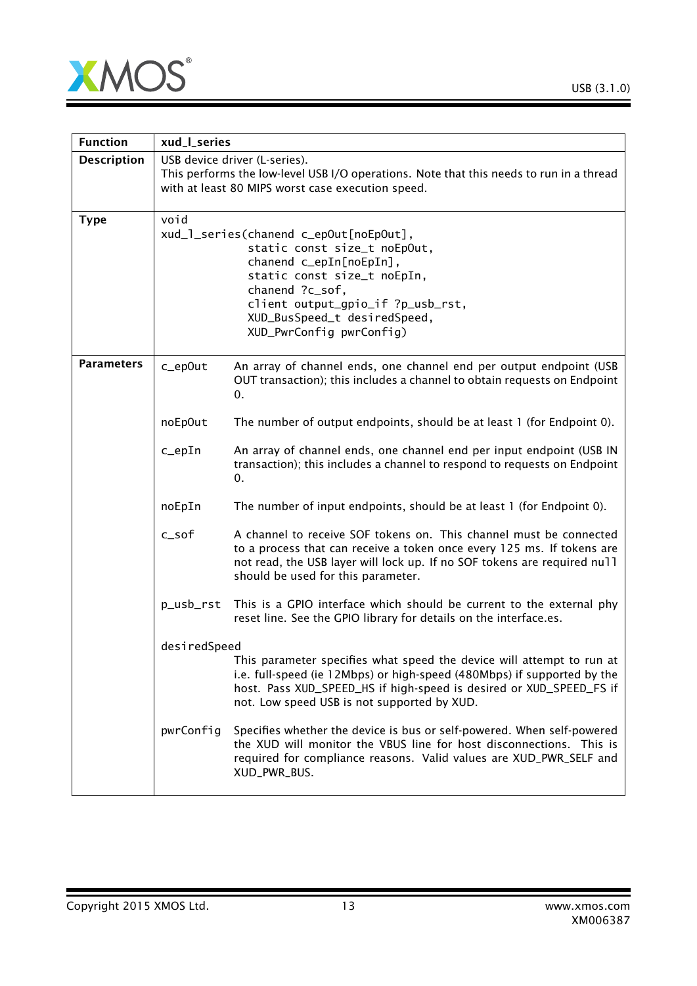

| <b>Function</b>    | xud_l_series                                                                                                                                                                                                                                                 |                                                                                                                                                                                                                                                                        |  |
|--------------------|--------------------------------------------------------------------------------------------------------------------------------------------------------------------------------------------------------------------------------------------------------------|------------------------------------------------------------------------------------------------------------------------------------------------------------------------------------------------------------------------------------------------------------------------|--|
| <b>Description</b> |                                                                                                                                                                                                                                                              | USB device driver (L-series).<br>This performs the low-level USB I/O operations. Note that this needs to run in a thread<br>with at least 80 MIPS worst case execution speed.                                                                                          |  |
| <b>Type</b>        | void<br>xud_l_series(chanend c_epOut[noEpOut],<br>static const size_t noEpOut,<br>chanend c_epIn[noEpIn],<br>static const size_t noEpIn,<br>chanend ?c_sof,<br>client output_gpio_if ?p_usb_rst,<br>XUD_BusSpeed_t desiredSpeed,<br>XUD_PwrConfig pwrConfig) |                                                                                                                                                                                                                                                                        |  |
| <b>Parameters</b>  | c_ep0ut                                                                                                                                                                                                                                                      | An array of channel ends, one channel end per output endpoint (USB<br>OUT transaction); this includes a channel to obtain requests on Endpoint<br>0.                                                                                                                   |  |
|                    | noEp0ut                                                                                                                                                                                                                                                      | The number of output endpoints, should be at least 1 (for Endpoint 0).                                                                                                                                                                                                 |  |
|                    | $c$ _epIn                                                                                                                                                                                                                                                    | An array of channel ends, one channel end per input endpoint (USB IN<br>transaction); this includes a channel to respond to requests on Endpoint<br>0.                                                                                                                 |  |
|                    | noEpIn                                                                                                                                                                                                                                                       | The number of input endpoints, should be at least 1 (for Endpoint 0).                                                                                                                                                                                                  |  |
|                    | c_sof                                                                                                                                                                                                                                                        | A channel to receive SOF tokens on. This channel must be connected<br>to a process that can receive a token once every 125 ms. If tokens are<br>not read, the USB layer will lock up. If no SOF tokens are required null<br>should be used for this parameter.         |  |
|                    | p_usb_rst                                                                                                                                                                                                                                                    | This is a GPIO interface which should be current to the external phy<br>reset line. See the GPIO library for details on the interface.es.                                                                                                                              |  |
|                    | desiredSpeed                                                                                                                                                                                                                                                 | This parameter specifies what speed the device will attempt to run at<br>i.e. full-speed (ie 12Mbps) or high-speed (480Mbps) if supported by the<br>host. Pass XUD_SPEED_HS if high-speed is desired or XUD_SPEED_FS if<br>not. Low speed USB is not supported by XUD. |  |
|                    | pwrConfig                                                                                                                                                                                                                                                    | Specifies whether the device is bus or self-powered. When self-powered<br>the XUD will monitor the VBUS line for host disconnections. This is<br>required for compliance reasons. Valid values are XUD_PWR_SELF and<br>XUD_PWR_BUS.                                    |  |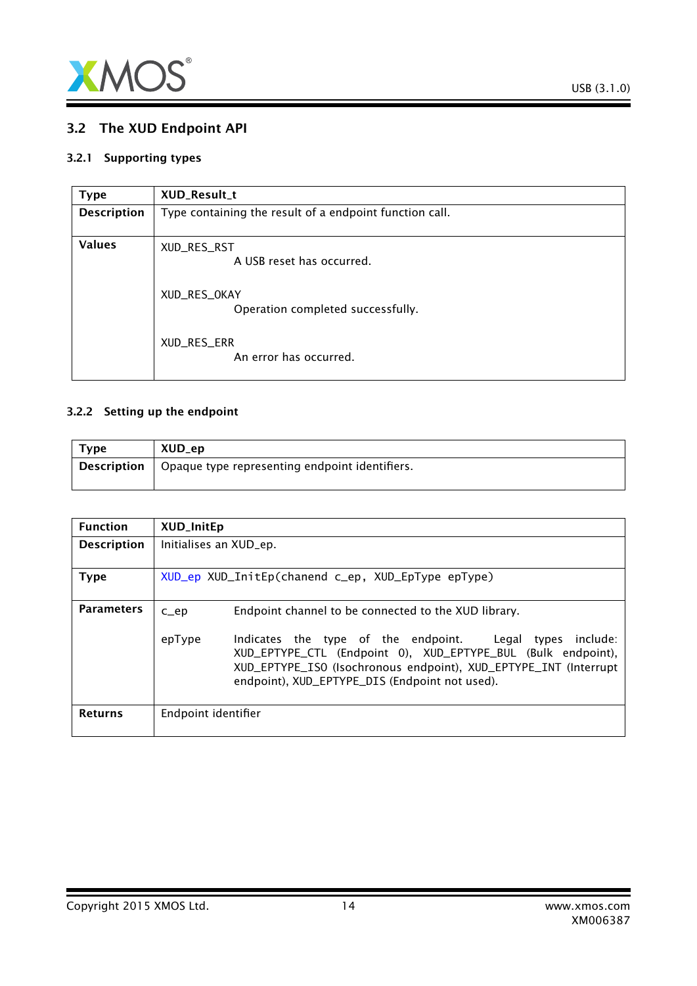

## <span id="page-13-0"></span>3.2 The XUD Endpoint API

#### 3.2.1 Supporting types

<span id="page-13-2"></span>

| <b>Type</b>        | XUD_Result_t                                            |
|--------------------|---------------------------------------------------------|
| <b>Description</b> | Type containing the result of a endpoint function call. |
| <b>Values</b>      | XUD_RES_RST<br>A USB reset has occurred.                |
|                    | XUD_RES_OKAY<br>Operation completed successfully.       |
|                    | XUD_RES_ERR<br>An error has occurred.                   |

### 3.2.2 Setting up the endpoint

<span id="page-13-1"></span>

| <b>Type</b> | XUD_ep                                         |
|-------------|------------------------------------------------|
| Description | Opaque type representing endpoint identifiers. |

| <b>Function</b>    | <b>XUD_InitEp</b>                                  |                                                                                                                                                                                                                                                   |  |  |
|--------------------|----------------------------------------------------|---------------------------------------------------------------------------------------------------------------------------------------------------------------------------------------------------------------------------------------------------|--|--|
| <b>Description</b> |                                                    | Initialises an XUD_ep.                                                                                                                                                                                                                            |  |  |
| Type               | XUD_ep XUD_InitEp(chanend c_ep, XUD_EpType epType) |                                                                                                                                                                                                                                                   |  |  |
| <b>Parameters</b>  | $C$ $ep$                                           | Endpoint channel to be connected to the XUD library.                                                                                                                                                                                              |  |  |
|                    | epType                                             | Indicates the type of the endpoint. Legal types<br>include:<br>XUD_EPTYPE_CTL (Endpoint 0), XUD_EPTYPE_BUL (Bulk endpoint),<br>XUD_EPTYPE_ISO (Isochronous endpoint), XUD_EPTYPE_INT (Interrupt<br>endpoint), XUD_EPTYPE_DIS (Endpoint not used). |  |  |
| <b>Returns</b>     | Endpoint identifier                                |                                                                                                                                                                                                                                                   |  |  |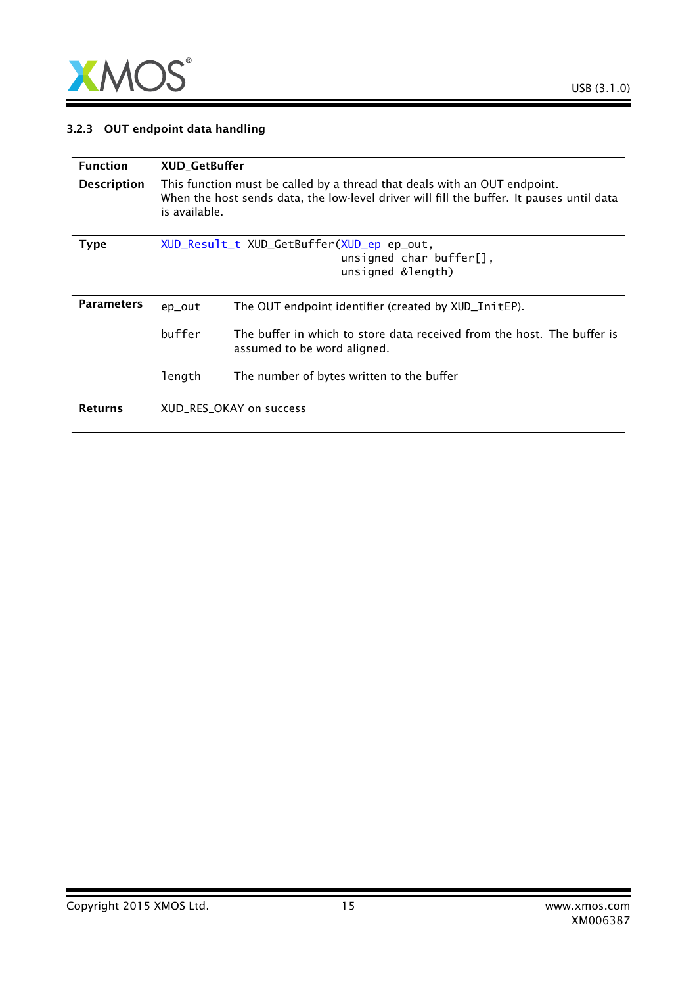

### 3.2.3 OUT endpoint data handling

| <b>Function</b>    | <b>XUD_GetBuffer</b>                                                                                                                                                                    |                                                                                                        |  |
|--------------------|-----------------------------------------------------------------------------------------------------------------------------------------------------------------------------------------|--------------------------------------------------------------------------------------------------------|--|
| <b>Description</b> | This function must be called by a thread that deals with an OUT endpoint.<br>When the host sends data, the low-level driver will fill the buffer. It pauses until data<br>is available. |                                                                                                        |  |
| <b>Type</b>        |                                                                                                                                                                                         | XUD_Result_t XUD_GetBuffer(XUD_ep ep_out,<br>unsigned char buffer $[]$ ,<br>unsigned &length)          |  |
| <b>Parameters</b>  | ep_out                                                                                                                                                                                  | The OUT endpoint identifier (created by XUD_InitEP).                                                   |  |
|                    | buffer                                                                                                                                                                                  | The buffer in which to store data received from the host. The buffer is<br>assumed to be word aligned. |  |
|                    | length                                                                                                                                                                                  | The number of bytes written to the buffer                                                              |  |
| <b>Returns</b>     |                                                                                                                                                                                         | XUD_RES_OKAY on success                                                                                |  |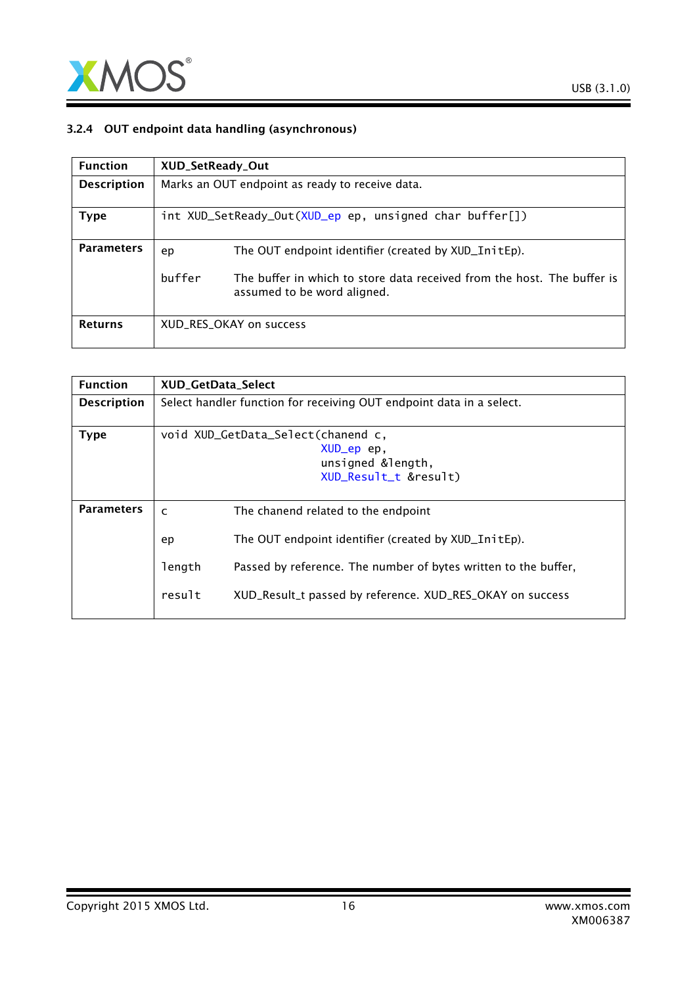

### 3.2.4 OUT endpoint data handling (asynchronous)

| <b>Function</b>    | XUD_SetReady_Out |                                                                                                        |
|--------------------|------------------|--------------------------------------------------------------------------------------------------------|
| <b>Description</b> |                  | Marks an OUT endpoint as ready to receive data.                                                        |
| Type               |                  | int XUD_SetReady_Out(XUD_ep ep, unsigned char buffer[])                                                |
| <b>Parameters</b>  | ep               | The OUT endpoint identifier (created by XUD_InitEp).                                                   |
|                    | buffer           | The buffer in which to store data received from the host. The buffer is<br>assumed to be word aligned. |
| <b>Returns</b>     |                  | XUD RES OKAY on success                                                                                |

| <b>Function</b>    |                        | <b>XUD GetData Select</b>                                                                                                                                                            |  |
|--------------------|------------------------|--------------------------------------------------------------------------------------------------------------------------------------------------------------------------------------|--|
| <b>Description</b> |                        | Select handler function for receiving OUT endpoint data in a select.                                                                                                                 |  |
| <b>Type</b>        |                        | void XUD_GetData_Select(chanend c,<br>XUD_ep ep,<br>unsigned &length,<br>XUD_Result_t &result)                                                                                       |  |
| <b>Parameters</b>  | $\mathsf{C}$           | The chanend related to the endpoint                                                                                                                                                  |  |
|                    | ep<br>length<br>result | The OUT endpoint identifier (created by XUD_InitEp).<br>Passed by reference. The number of bytes written to the buffer,<br>XUD_Result_t passed by reference. XUD_RES_OKAY on success |  |
|                    |                        |                                                                                                                                                                                      |  |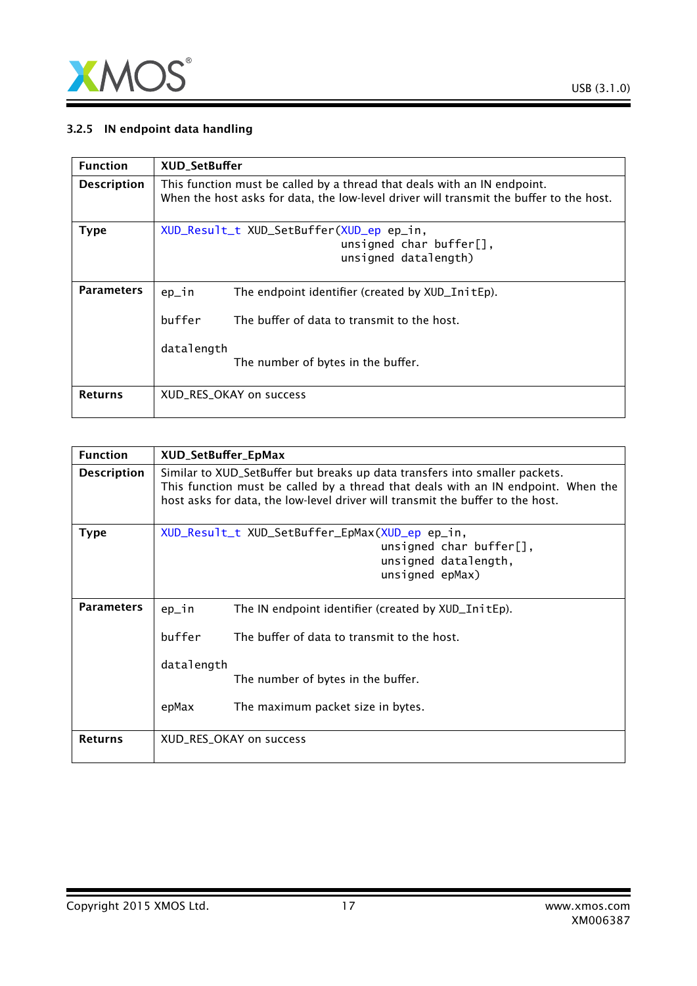

### 3.2.5 IN endpoint data handling

| <b>Function</b>    | <b>XUD SetBuffer</b>                                                                                                                                                     |
|--------------------|--------------------------------------------------------------------------------------------------------------------------------------------------------------------------|
| <b>Description</b> | This function must be called by a thread that deals with an IN endpoint.<br>When the host asks for data, the low-level driver will transmit the buffer to the host.      |
| <b>Type</b>        | XUD_Result_t XUD_SetBuffer(XUD_ep ep_in,<br>unsigned char buffer $[]$ ,<br>unsigned datalength)                                                                          |
| <b>Parameters</b>  | The endpoint identifier (created by XUD_InitEp).<br>$ep_1n$<br>buffer<br>The buffer of data to transmit to the host.<br>datalength<br>The number of bytes in the buffer. |
| <b>Returns</b>     | XUD RES OKAY on success                                                                                                                                                  |

| <b>Function</b>    | XUD_SetBuffer_EpMax     |                                                                                                                                                                                                                                                    |
|--------------------|-------------------------|----------------------------------------------------------------------------------------------------------------------------------------------------------------------------------------------------------------------------------------------------|
| <b>Description</b> |                         | Similar to XUD_SetBuffer but breaks up data transfers into smaller packets.<br>This function must be called by a thread that deals with an IN endpoint. When the<br>host asks for data, the low-level driver will transmit the buffer to the host. |
| <b>Type</b>        |                         | XUD_Result_t XUD_SetBuffer_EpMax(XUD_ep ep_in,<br>unsigned char buffer $[]$ ,<br>unsigned datalength,<br>unsigned epMax)                                                                                                                           |
| <b>Parameters</b>  | ep_in                   | The IN endpoint identifier (created by XUD_InitEp).                                                                                                                                                                                                |
|                    | buffer                  | The buffer of data to transmit to the host.                                                                                                                                                                                                        |
|                    | datalength              | The number of bytes in the buffer.                                                                                                                                                                                                                 |
|                    | epMax                   | The maximum packet size in bytes.                                                                                                                                                                                                                  |
| <b>Returns</b>     | XUD_RES_OKAY on success |                                                                                                                                                                                                                                                    |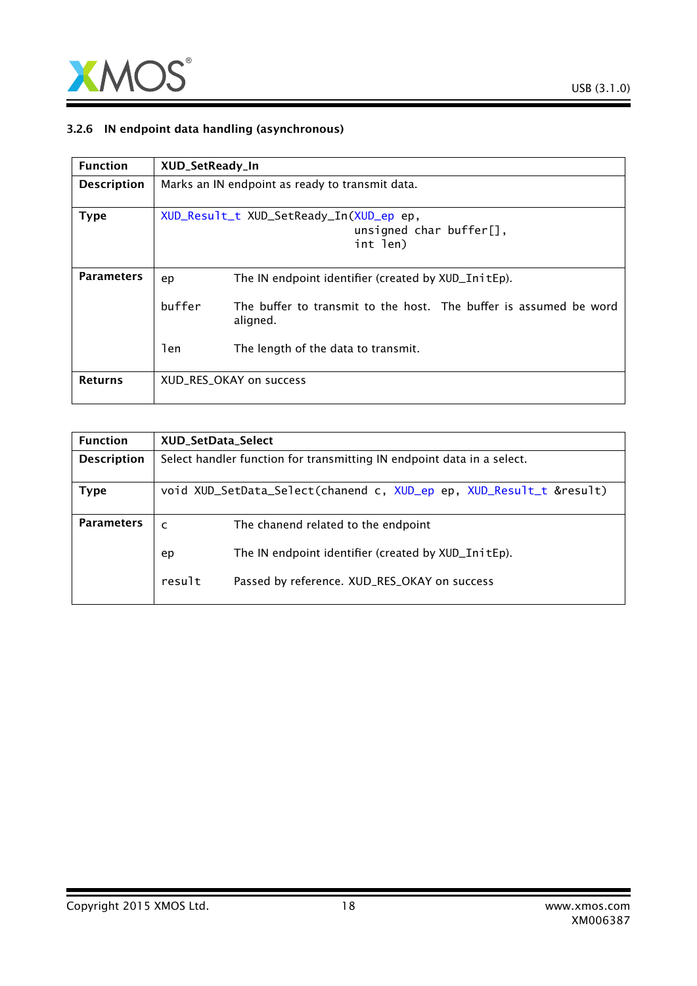

### 3.2.6 IN endpoint data handling (asynchronous)

| <b>Function</b>    | XUD_SetReady_In                                 |                                                                                    |
|--------------------|-------------------------------------------------|------------------------------------------------------------------------------------|
| <b>Description</b> | Marks an IN endpoint as ready to transmit data. |                                                                                    |
| <b>Type</b>        |                                                 | XUD_Result_t XUD_SetReady_In(XUD_ep ep,<br>unsigned char buffer $[]$ ,<br>int len) |
| <b>Parameters</b>  | ep                                              | The IN endpoint identifier (created by XUD_InitEp).                                |
|                    | buffer                                          | The buffer to transmit to the host. The buffer is assumed be word<br>aligned.      |
|                    | len                                             | The length of the data to transmit.                                                |
| <b>Returns</b>     |                                                 | XUD RES OKAY on success                                                            |

| <b>Function</b>    | <b>XUD SetData Select</b>                                              |  |
|--------------------|------------------------------------------------------------------------|--|
| <b>Description</b> | Select handler function for transmitting IN endpoint data in a select. |  |
|                    |                                                                        |  |
| Type               | void XUD_SetData_Select(chanend c, XUD_ep ep, XUD_Result_t &result)    |  |
|                    |                                                                        |  |
| <b>Parameters</b>  | The chanend related to the endpoint<br>$\mathsf{C}$                    |  |
|                    | The IN endpoint identifier (created by XUD_InitEp).<br>ep              |  |
|                    | result<br>Passed by reference. XUD_RES_OKAY on success                 |  |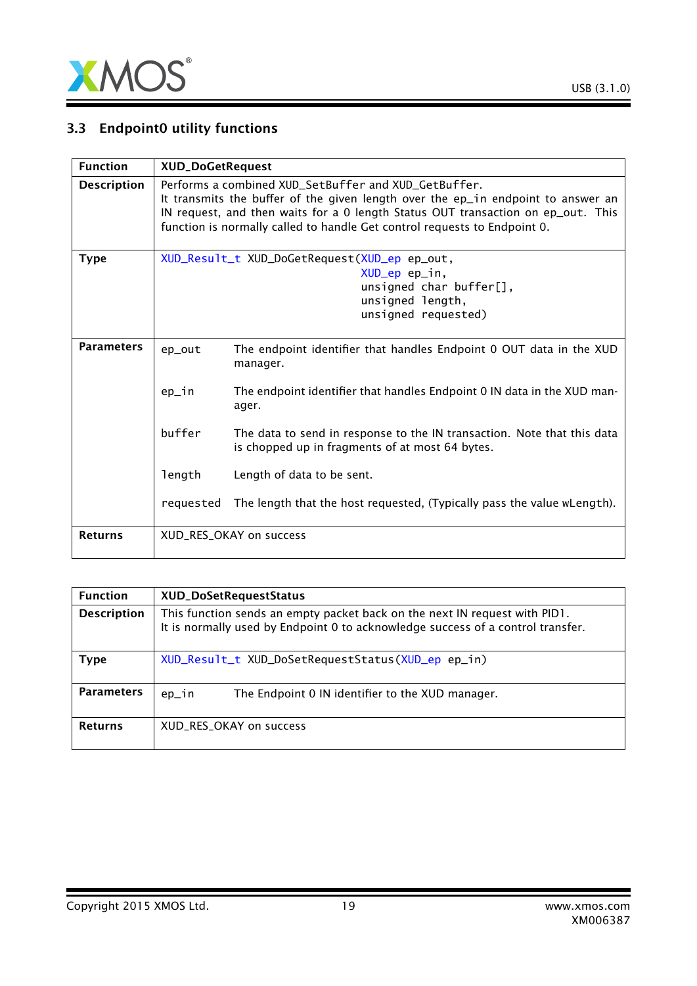

# 3.3 Endpoint0 utility functions

| <b>Function</b>    |           | <b>XUD_DoGetRequest</b>                                                                                                                                                                                                                                                                                   |  |
|--------------------|-----------|-----------------------------------------------------------------------------------------------------------------------------------------------------------------------------------------------------------------------------------------------------------------------------------------------------------|--|
| <b>Description</b> |           | Performs a combined XUD_SetBuffer and XUD_GetBuffer.<br>It transmits the buffer of the given length over the ep_in endpoint to answer an<br>IN request, and then waits for a 0 length Status OUT transaction on ep_out. This<br>function is normally called to handle Get control requests to Endpoint 0. |  |
| <b>Type</b>        |           | XUD_Result_t XUD_DoGetRequest(XUD_ep ep_out,<br>XUD_ep ep_in,<br>unsigned char buffer $[]$ ,<br>unsigned length,<br>unsigned requested)                                                                                                                                                                   |  |
| <b>Parameters</b>  | ep_out    | The endpoint identifier that handles Endpoint 0 OUT data in the XUD<br>manager.                                                                                                                                                                                                                           |  |
|                    | ep_in     | The endpoint identifier that handles Endpoint 0 IN data in the XUD man-<br>ager.                                                                                                                                                                                                                          |  |
|                    | buffer    | The data to send in response to the IN transaction. Note that this data<br>is chopped up in fragments of at most 64 bytes.                                                                                                                                                                                |  |
|                    | length    | Length of data to be sent.                                                                                                                                                                                                                                                                                |  |
|                    | requested | The length that the host requested, (Typically pass the value wLength).                                                                                                                                                                                                                                   |  |
| <b>Returns</b>     |           | XUD_RES_OKAY on success                                                                                                                                                                                                                                                                                   |  |

| <b>Function</b>    | XUD_DoSetRequestStatus                                                                                                                                        |
|--------------------|---------------------------------------------------------------------------------------------------------------------------------------------------------------|
| <b>Description</b> | This function sends an empty packet back on the next IN request with PID1.<br>It is normally used by Endpoint 0 to acknowledge success of a control transfer. |
| Type               | XUD_Result_t XUD_DoSetRequestStatus(XUD_ep ep_in)                                                                                                             |
| <b>Parameters</b>  | ep_in<br>The Endpoint 0 IN identifier to the XUD manager.                                                                                                     |
| <b>Returns</b>     | XUD_RES_OKAY on success                                                                                                                                       |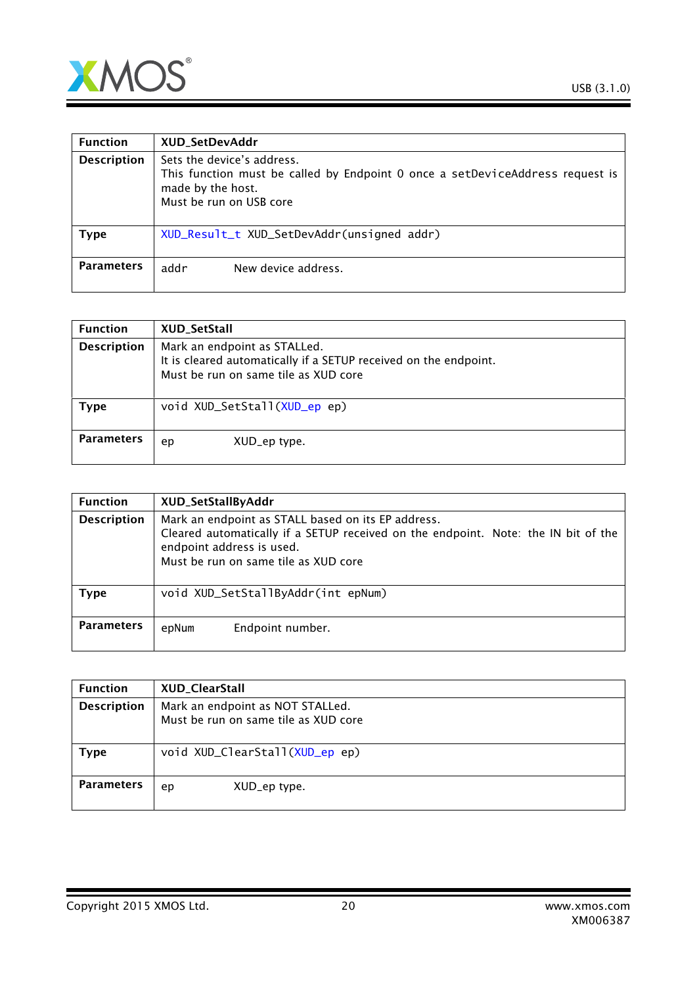

| <b>Function</b>    | XUD_SetDevAddr                                                                                                                                              |
|--------------------|-------------------------------------------------------------------------------------------------------------------------------------------------------------|
| <b>Description</b> | Sets the device's address.<br>This function must be called by Endpoint 0 once a setDeviceAddress request is<br>made by the host.<br>Must be run on USB core |
| <b>Type</b>        | XUD_Result_t XUD_SetDevAddr(unsigned addr)                                                                                                                  |
| <b>Parameters</b>  | addr<br>New device address.                                                                                                                                 |

| <b>Function</b>    | XUD_SetStall                                                                                                                             |
|--------------------|------------------------------------------------------------------------------------------------------------------------------------------|
| <b>Description</b> | Mark an endpoint as STALLed.<br>It is cleared automatically if a SETUP received on the endpoint.<br>Must be run on same tile as XUD core |
| Type               | void XUD_SetStall(XUD_ep ep)                                                                                                             |
| <b>Parameters</b>  | XUD_ep type.<br>ep                                                                                                                       |

| <b>Function</b>    | XUD_SetStallByAddr                                                                                                                                                                                            |
|--------------------|---------------------------------------------------------------------------------------------------------------------------------------------------------------------------------------------------------------|
| <b>Description</b> | Mark an endpoint as STALL based on its EP address.<br>Cleared automatically if a SETUP received on the endpoint. Note: the IN bit of the<br>endpoint address is used.<br>Must be run on same tile as XUD core |
| <b>Type</b>        | void XUD_SetStallByAddr(int epNum)                                                                                                                                                                            |
| <b>Parameters</b>  | Endpoint number.<br>epNum                                                                                                                                                                                     |

| <b>Function</b>    | XUD_ClearStall                                                           |
|--------------------|--------------------------------------------------------------------------|
| <b>Description</b> | Mark an endpoint as NOT STALLed.<br>Must be run on same tile as XUD core |
| <b>Type</b>        | void XUD_ClearStall(XUD_ep ep)                                           |
| <b>Parameters</b>  | XUD_ep type.<br>ep                                                       |

Copyright 2015 XMOS Ltd. 20 www.xmos.com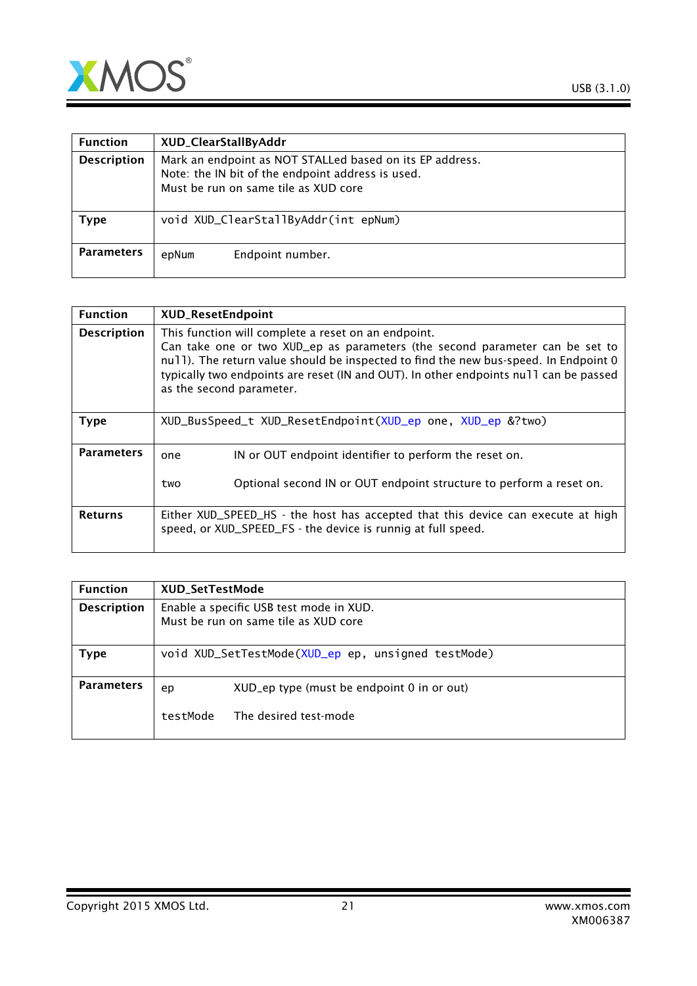

| <b>Function</b>    | XUD_ClearStallByAddr                                                                                                                                  |
|--------------------|-------------------------------------------------------------------------------------------------------------------------------------------------------|
| <b>Description</b> | Mark an endpoint as NOT STALLed based on its EP address.<br>Note: the IN bit of the endpoint address is used.<br>Must be run on same tile as XUD core |
| Type               | void XUD_ClearStallByAddr(int epNum)                                                                                                                  |
| <b>Parameters</b>  | Endpoint number.<br>epNum                                                                                                                             |

| <b>Function</b>    | <b>XUD_ResetEndpoint</b>                                                                                                                                                                                                                                                                                                                         |
|--------------------|--------------------------------------------------------------------------------------------------------------------------------------------------------------------------------------------------------------------------------------------------------------------------------------------------------------------------------------------------|
| <b>Description</b> | This function will complete a reset on an endpoint.<br>Can take one or two XUD_ep as parameters (the second parameter can be set to<br>null). The return value should be inspected to find the new bus-speed. In Endpoint 0<br>typically two endpoints are reset (IN and OUT). In other endpoints null can be passed<br>as the second parameter. |
| <b>Type</b>        | XUD_BusSpeed_t XUD_ResetEndpoint(XUD_ep one, XUD_ep &?two)                                                                                                                                                                                                                                                                                       |
| <b>Parameters</b>  | IN or OUT endpoint identifier to perform the reset on.<br>one<br>Optional second IN or OUT endpoint structure to perform a reset on.<br>two                                                                                                                                                                                                      |
| <b>Returns</b>     | Either XUD_SPEED_HS - the host has accepted that this device can execute at high<br>speed, or XUD_SPEED_FS - the device is runnig at full speed.                                                                                                                                                                                                 |

| <b>Function</b>    | <b>XUD SetTestMode</b>                                                          |                                                    |  |
|--------------------|---------------------------------------------------------------------------------|----------------------------------------------------|--|
| <b>Description</b> | Enable a specific USB test mode in XUD.<br>Must be run on same tile as XUD core |                                                    |  |
| Type               |                                                                                 | void XUD_SetTestMode(XUD_ep ep, unsigned testMode) |  |
| <b>Parameters</b>  | ep                                                                              | XUD_ep type (must be endpoint 0 in or out)         |  |
|                    | testMode                                                                        | The desired test-mode                              |  |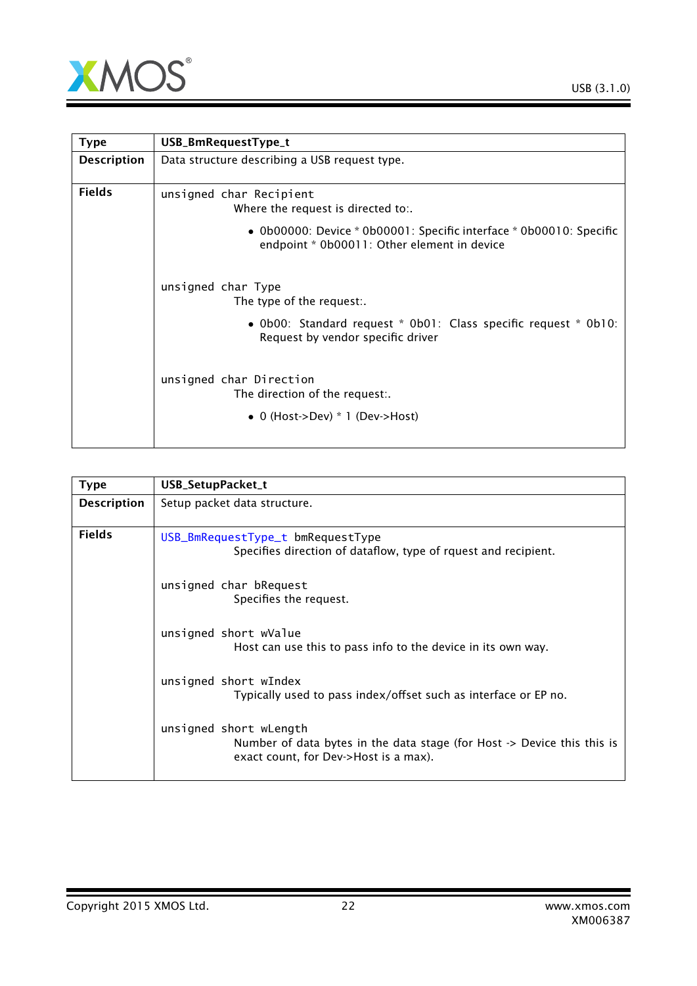

<span id="page-21-0"></span>

| <b>Type</b>        | USB_BmRequestType_t                                                                                                |  |
|--------------------|--------------------------------------------------------------------------------------------------------------------|--|
| <b>Description</b> | Data structure describing a USB request type.                                                                      |  |
| <b>Fields</b>      | unsigned char Recipient<br>Where the request is directed to:.                                                      |  |
|                    | • 0b00000: Device * 0b00001: Specific interface * 0b00010: Specific<br>endpoint * 0b00011: Other element in device |  |
|                    | unsigned char Type<br>The type of the request:.                                                                    |  |
|                    | • Ob00: Standard request * Ob01: Class specific request * Ob10:<br>Request by vendor specific driver               |  |
|                    | unsigned char Direction<br>The direction of the request:.                                                          |  |
|                    | • 0 (Host->Dev) $*$ 1 (Dev->Host)                                                                                  |  |

<span id="page-21-1"></span>

| <b>Type</b>        | USB_SetupPacket_t                                                                                                                          |  |
|--------------------|--------------------------------------------------------------------------------------------------------------------------------------------|--|
| <b>Description</b> | Setup packet data structure.                                                                                                               |  |
| <b>Fields</b>      | USB_BmRequestType_t bmRequestType<br>Specifies direction of dataflow, type of rquest and recipient.                                        |  |
|                    | unsigned char bRequest<br>Specifies the request.                                                                                           |  |
|                    | unsigned short wValue<br>Host can use this to pass info to the device in its own way.                                                      |  |
|                    | unsigned short wIndex<br>Typically used to pass index/offset such as interface or EP no.                                                   |  |
|                    | unsigned short wLength<br>Number of data bytes in the data stage (for Host -> Device this this is<br>exact count, for Dev->Host is a max). |  |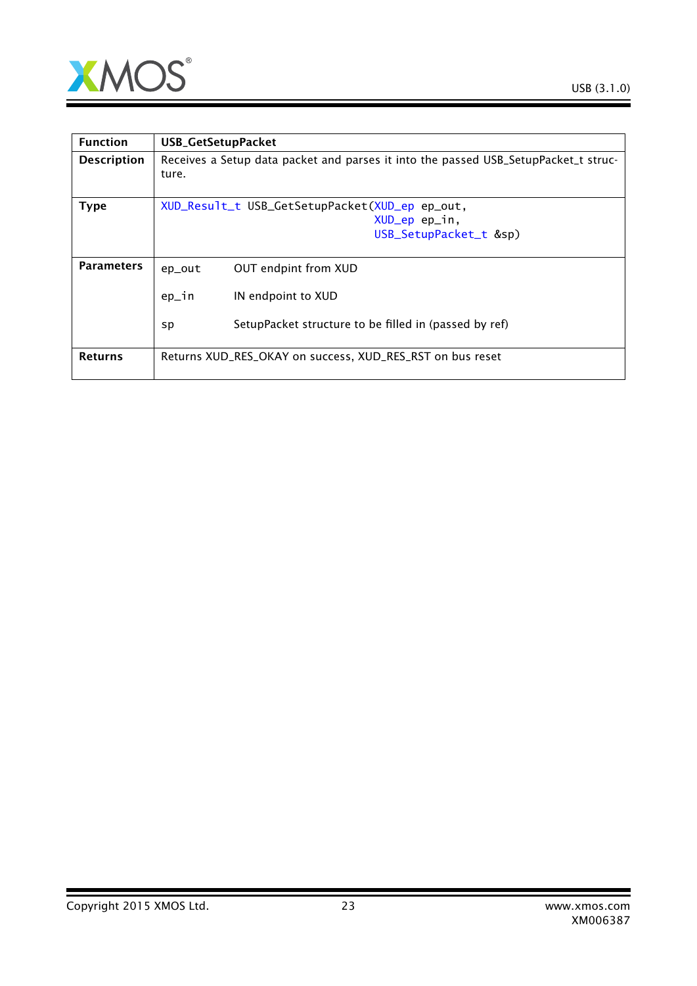

| <b>Function</b>    | <b>USB_GetSetupPacket</b>                                                                    |  |
|--------------------|----------------------------------------------------------------------------------------------|--|
| <b>Description</b> | Receives a Setup data packet and parses it into the passed USB_SetupPacket_t struc-<br>ture. |  |
| <b>Type</b>        | XUD_Result_t USB_GetSetupPacket(XUD_ep ep_out,                                               |  |
|                    | XUD_ep ep_in,                                                                                |  |
|                    | USB_SetupPacket_t &sp)                                                                       |  |
|                    |                                                                                              |  |
| <b>Parameters</b>  | OUT endpint from XUD<br>ep_out                                                               |  |
|                    | $ep_in$<br>IN endpoint to XUD                                                                |  |
|                    | SetupPacket structure to be filled in (passed by ref)<br>sp                                  |  |
| <b>Returns</b>     | Returns XUD_RES_OKAY on success, XUD_RES_RST on bus reset                                    |  |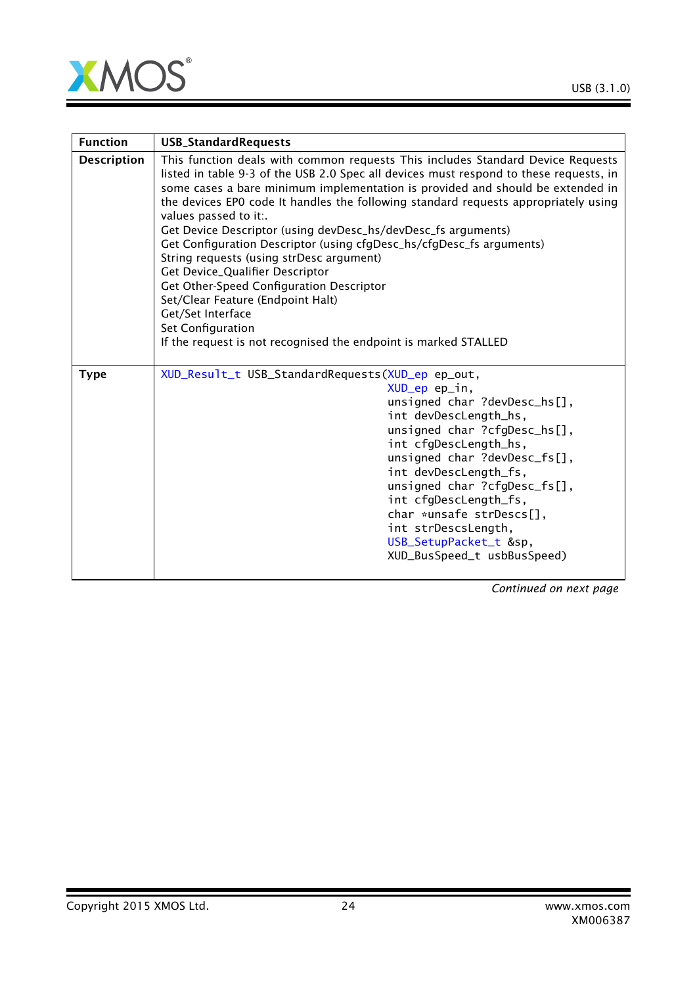

| <b>Function</b>    | <b>USB_StandardRequests</b>                                                                                                                                                                                                                                                                                                                                                                                                                                                                                                                                                                                                                                                                                                                                                                       |
|--------------------|---------------------------------------------------------------------------------------------------------------------------------------------------------------------------------------------------------------------------------------------------------------------------------------------------------------------------------------------------------------------------------------------------------------------------------------------------------------------------------------------------------------------------------------------------------------------------------------------------------------------------------------------------------------------------------------------------------------------------------------------------------------------------------------------------|
| <b>Description</b> | This function deals with common requests This includes Standard Device Requests<br>listed in table 9-3 of the USB 2.0 Spec all devices must respond to these requests, in<br>some cases a bare minimum implementation is provided and should be extended in<br>the devices EPO code It handles the following standard requests appropriately using<br>values passed to it:.<br>Get Device Descriptor (using devDesc_hs/devDesc_fs arguments)<br>Get Configuration Descriptor (using cfgDesc_hs/cfgDesc_fs arguments)<br>String requests (using strDesc argument)<br>Get Device_Qualifier Descriptor<br>Get Other-Speed Configuration Descriptor<br>Set/Clear Feature (Endpoint Halt)<br>Get/Set Interface<br>Set Configuration<br>If the request is not recognised the endpoint is marked STALLED |
| <b>Type</b>        | XUD_Result_t USB_StandardRequests(XUD_ep ep_out,<br>XUD_ep ep_in,<br>unsigned char ?devDesc_hs[],<br>int devDescLength_hs,<br>unsigned char ?cfgDesc_hs[],<br>int cfgDescLength_hs,<br>unsigned char ?devDesc_fs[],<br>int devDescLength_fs,<br>unsigned char ?cfgDesc_fs[],<br>int cfgDescLength_fs,<br>char *unsafe strDescs[],<br>int strDescsLength,<br>USB_SetupPacket_t &sp,<br>XUD_BusSpeed_t usbBusSpeed)                                                                                                                                                                                                                                                                                                                                                                                 |

*Continued on next page*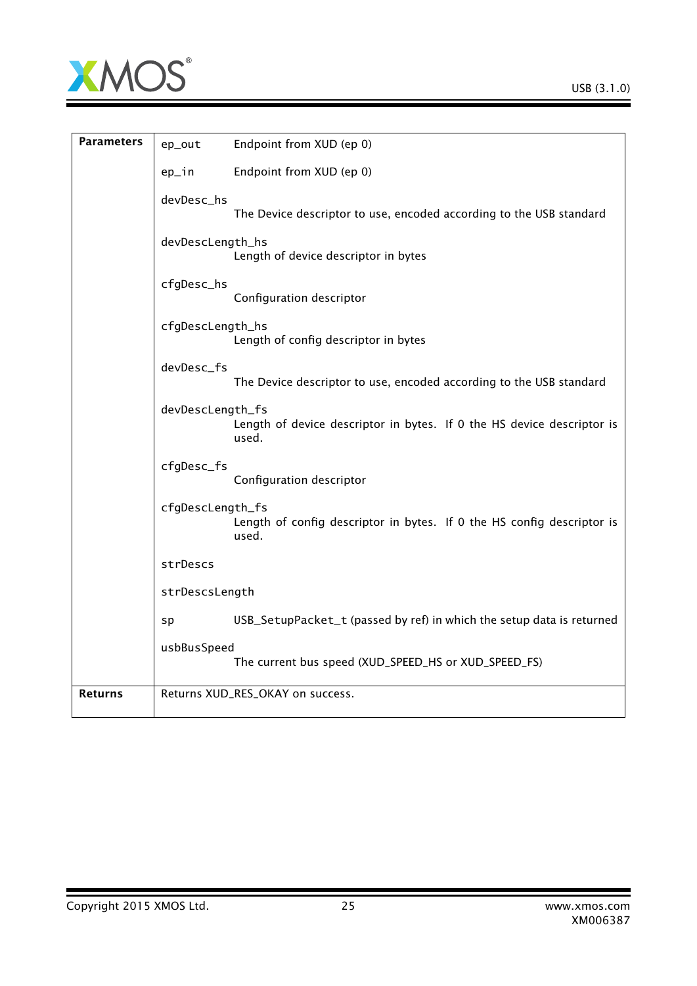

| <b>Parameters</b> | ep_out           | Endpoint from XUD (ep 0)                                                        |
|-------------------|------------------|---------------------------------------------------------------------------------|
|                   | ep_in            | Endpoint from XUD (ep 0)                                                        |
|                   | devDesc_hs       | The Device descriptor to use, encoded according to the USB standard             |
|                   | devDescLength_hs | Length of device descriptor in bytes                                            |
|                   | cfgDesc_hs       | Configuration descriptor                                                        |
|                   | cfgDescLength_hs | Length of config descriptor in bytes                                            |
|                   | devDesc_fs       | The Device descriptor to use, encoded according to the USB standard             |
|                   | devDescLength_fs | Length of device descriptor in bytes. If 0 the HS device descriptor is<br>used. |
|                   | cfgDesc_fs       | Configuration descriptor                                                        |
|                   | cfgDescLength_fs | Length of config descriptor in bytes. If 0 the HS config descriptor is<br>used. |
|                   | strDescs         |                                                                                 |
|                   | strDescsLength   |                                                                                 |
|                   | sp               | USB_SetupPacket_t (passed by ref) in which the setup data is returned           |
|                   | usbBusSpeed      | The current bus speed (XUD_SPEED_HS or XUD_SPEED_FS)                            |
| <b>Returns</b>    |                  | Returns XUD_RES_OKAY on success.                                                |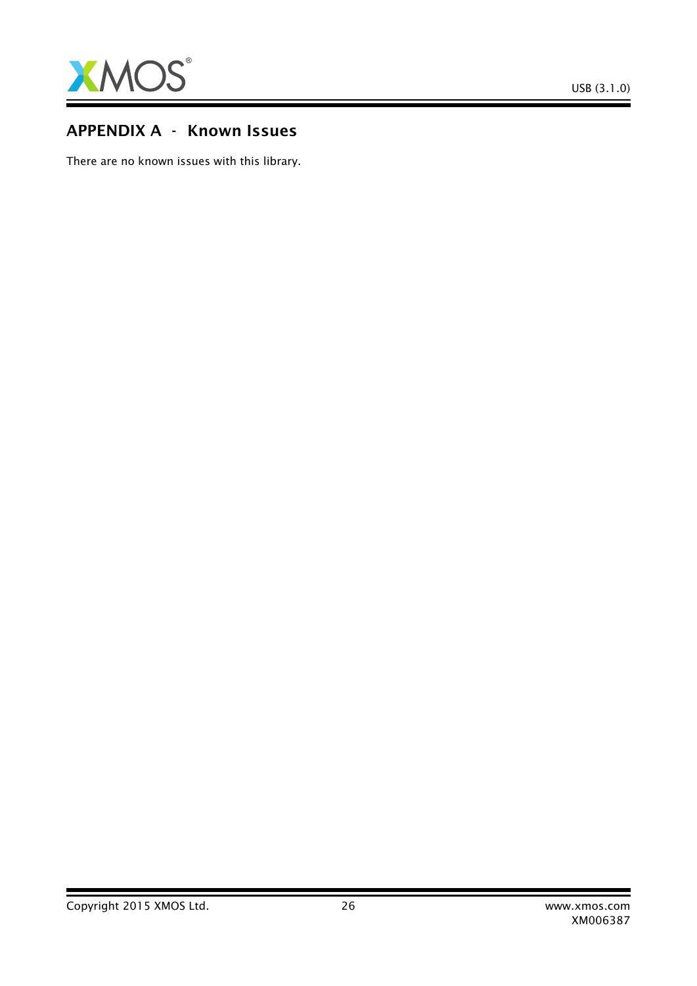

# APPENDIX A - Known Issues

There are no known issues with this library.